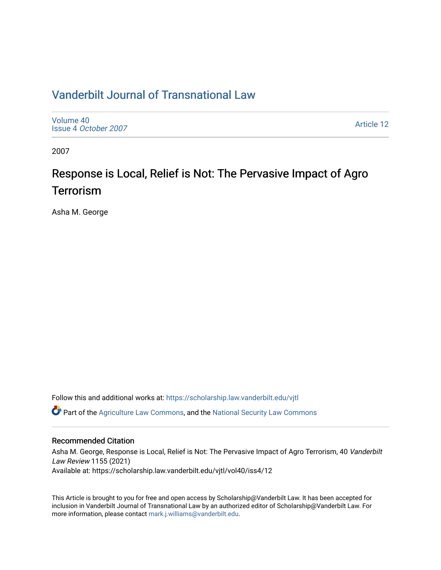## [Vanderbilt Journal of Transnational Law](https://scholarship.law.vanderbilt.edu/vjtl)

[Volume 40](https://scholarship.law.vanderbilt.edu/vjtl/vol40) Issue 4 [October 2007](https://scholarship.law.vanderbilt.edu/vjtl/vol40/iss4)

[Article 12](https://scholarship.law.vanderbilt.edu/vjtl/vol40/iss4/12) 

2007

# Response is Local, Relief is Not: The Pervasive Impact of Agro **Terrorism**

Asha M. George

Follow this and additional works at: [https://scholarship.law.vanderbilt.edu/vjtl](https://scholarship.law.vanderbilt.edu/vjtl?utm_source=scholarship.law.vanderbilt.edu%2Fvjtl%2Fvol40%2Fiss4%2F12&utm_medium=PDF&utm_campaign=PDFCoverPages) 

**C** Part of the [Agriculture Law Commons](http://network.bepress.com/hgg/discipline/581?utm_source=scholarship.law.vanderbilt.edu%2Fvjtl%2Fvol40%2Fiss4%2F12&utm_medium=PDF&utm_campaign=PDFCoverPages), and the [National Security Law Commons](http://network.bepress.com/hgg/discipline/1114?utm_source=scholarship.law.vanderbilt.edu%2Fvjtl%2Fvol40%2Fiss4%2F12&utm_medium=PDF&utm_campaign=PDFCoverPages)

## Recommended Citation

Asha M. George, Response is Local, Relief is Not: The Pervasive Impact of Agro Terrorism, 40 Vanderbilt Law Review 1155 (2021) Available at: https://scholarship.law.vanderbilt.edu/vjtl/vol40/iss4/12

This Article is brought to you for free and open access by Scholarship@Vanderbilt Law. It has been accepted for inclusion in Vanderbilt Journal of Transnational Law by an authorized editor of Scholarship@Vanderbilt Law. For more information, please contact [mark.j.williams@vanderbilt.edu](mailto:mark.j.williams@vanderbilt.edu).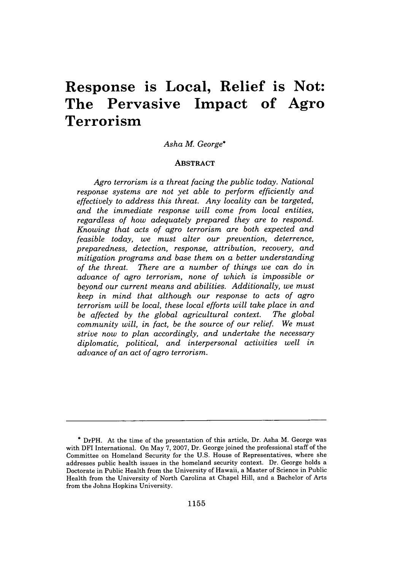## **Response is Local, Relief is Not: The Pervasive Impact of Agro Terrorism**

## *Asha M. George\**

## **ABSTRACT**

*Agro terrorism is a threat facing the public today. National response systems are not yet able to perform efficiently and effectively to address this threat. Any locality can be targeted, and the immediate response will come from local entities, regardless of how adequately prepared they are to respond. Knowing that acts of agro terrorism are both expected and feasible today, we must alter our prevention, deterrence, preparedness, detection, response, attribution, recovery, and mitigation programs and base them on a better understanding of the threat. There are a number of things we can do in advance of agro terrorism, none of which is impossible or beyond our current means and abilities. Additionally, we must keep in mind that although our response to acts of agro terrorism will be local, these local efforts will take place in and be affected by the global agricultural context. The global community will, in fact, be the source of our relief. We must strive now to plan accordingly, and undertake the necessary diplomatic, political, and interpersonal activities well in advance of an act of agro terrorism.*

**<sup>\*</sup>** DrPH. At the time of the presentation of this article, Dr. Asha M. George was with DFI International. On May **7, 2007,** Dr. George joined the professional staff of the Committee on Homeland Security for the **U.S.** House of Representatives, where she addresses public health issues in the homeland security context. Dr. George holds a Doctorate in Public Health from the University of Hawaii, a Master of Science in Public Health from the University of North Carolina at Chapel Hill, and a Bachelor of Arts from the Johns Hopkins University.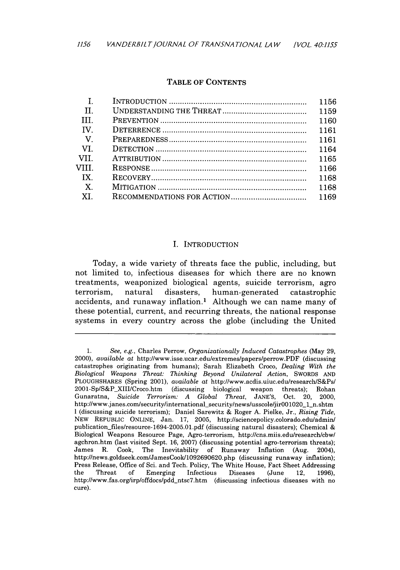## TABLE OF CONTENTS

| H            |      |
|--------------|------|
| HH.          |      |
| <b>TV</b>    |      |
| $\mathbf{V}$ |      |
| - VI         | 1164 |
| -VII.        |      |
| VIII.        | 1166 |
| IX           | 1168 |
| $\mathbf{X}$ | 1168 |
| XI.          |      |
|              |      |

## I. INTRODUCTION

Today, a wide variety of threats face the public, including, but not limited to, infectious diseases for which there are no known treatments, weaponized biological agents, suicide terrorism, agro terrorism, natural disasters, human-generated catastrophic accidents, and runaway inflation.<sup>1</sup> Although we can name many of these potential, current, and recurring threats, the national response systems in every country across the globe (including the United

<sup>1.</sup> *See, e.g.,* Charles Perrow, *Organizationally Induced Catastrophes* (May 29, 2000), *available at* http://www.isse.ucar.edu/extremes/papers/perrow.PDF (discussing catastrophes originating from humans); Sarah Elizabeth Croco, *Dealing With the Biological Weapons Threat: Thinking Beyond Unilateral Action,* SWORDS AND PLOUGHSHARES (Spring 2001), *available at* http://www.acdis.uiuc.edu/research/S&Ps/ 2001-Sp/S&P XIII/Croco.htm (discussing biological weapon threats); Rohan Gunaratna, *Suicide Terrorism: A Global Threat,* JANE'S, Oct. 20, 2000, http://www.janes.com/security/international-security/news/usscole/jirOO1020-1\_n.shtm 1 (discussing suicide terrorism); Daniel Sarewitz & Roger A. Pielke, Jr., *Rising Tide,* NEW REPUBLIC ONLINE, Jan. 17, 2005, http://sciencepolicy.colorado.edu/admin/ publication files/resource-1694-2005.01.pdf (discussing natural disasters); Chemical & Biological Weapons Resource Page, Agro-terrorism, http://cns.miis.edu/research/cbw/ agchron.htm (last visited Sept. 16, 2007) (discussing potential agro-terrorism threats); James R. Cook, The Inevitability of Runaway Inflation (Aug. 2004), http://news.goldseek.com/JamesCook/1092690620.php (discussing runaway inflation); Press Release, Office of Sci. and Tech. Policy, The White House, Fact Sheet Addressing the Threat of Emerging Infectious Diseases (June 12, 1996), http://www.fas.org/irp/offdocs/pdd\_ntsc7.htm (discussing infectious diseases with no cure).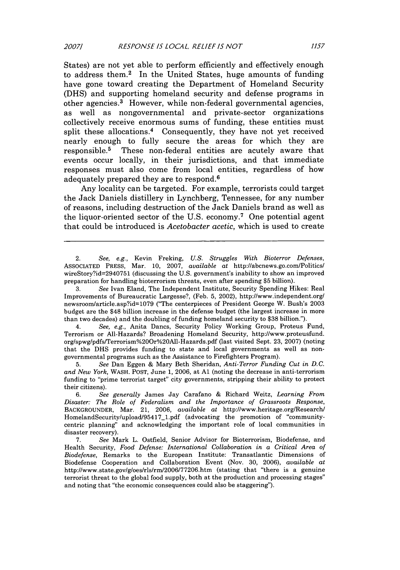States) are not yet able to perform efficiently and effectively enough to address them.<sup>2</sup> In the United States, huge amounts of funding have gone toward creating the Department of Homeland Security (DHS) and supporting homeland security and defense programs in other agencies.3 However, while non-federal governmental agencies, as well as nongovernmental and private-sector organizations collectively receive enormous sums of funding, these entities must split these allocations.<sup>4</sup> Consequently, they have not yet received nearly enough to fully secure the areas for which they are responsible.5 These non-federal entities are acutely aware that events occur locally, in their jurisdictions, and that immediate responses must also come from local entities, regardless of how adequately prepared they are to respond. <sup>6</sup>

Any locality can be targeted. For example, terrorists could target the Jack Daniels distillery in Lynchberg, Tennessee, for any number of reasons, including destruction of the Jack Daniels brand as well as the liquor-oriented sector of the U.S. economy.7 One potential agent that could be introduced is *Acetobacter acetic,* which is used to create

4. *See, e.g.,* Anita Dancs, Security Policy Working Group, Proteus Fund, Terrorism or All-Hazards? Broadening Homeland Security, http://www.proteusfund. org/spwg/pdfs/Terrorism%2O0r%20Al-Hazards.pdf (last visited Sept. 23, 2007) (noting that the DHS provides funding to state and local governments as well as nongovernmental programs such as the Assistance to Firefighters Program).

5. *See* Dan Eggen & Mary Beth Sheridan, *Anti-Terror Funding Cut in D.C. and New York,* WASH. POST, June 1, 2006, at **Al** (noting the decrease in anti-terrorism funding to "prime terrorist target" city governments, stripping their ability to protect their citizens).

6. *See generally* James Jay Carafano & Richard Weitz, *Learning From Disaster: The Role of Federalism and the Importance of Grassroots Response,* BACKGROUNDER, Mar. 21, 2006, *available at* http://www.heritage.org/Research/ HomelandSecurity/upload/95417\_l.pdf (advocating the promotion of "communitycentric planning" and acknowledging the important role of local communities in disaster recovery).

7. *See* Mark L. Ostfield, Senior Advisor for Bioterrorism, Biodefense, and Health Security, *Food Defense: International Collaboration in a Critical Area of Biodefense,* Remarks to the European Institute: Transatlantic Dimensions of Biodefense Cooperation and Collaboration Event (Nov. 30, 2006), *available at* http://www.state.gov/g/oes/rls/rm/2006/77206.htm (stating that "there is a genuine terrorist threat to the global food supply, both at the production and processing stages" and noting that "the economic consequences could also be staggering").

<sup>2.</sup> *See, e.g.,* Kevin Freking, *U.S. Struggles With Bioterror Defenses,* ASSOCIATED PRESS, Mar. 10, 2007, *available at* http://abcnews.go.com/Politics. wireStory?id=2940751 (discussing the U.S. government's inability to show an improved preparation for handling bioterrorism threats, even after spending \$5 billion).

<sup>3.</sup> *See* Ivan Eland, The Independent Institute, Security Spending Hikes: Real Improvements of Bureaucratic Largesse?, (Feb. 5, 2002), http://www.independent.org/ newsroom/article.asp?id=1079 ("The centerpieces of President George W. Bush's 2003 budget are the \$48 billion increase in the defense budget (the largest increase in more than two decades) and the doubling of funding homeland security to \$38 billion.").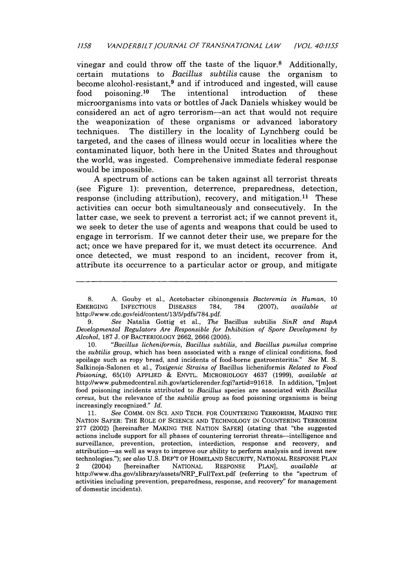vinegar and could throw off the taste of the liquor.8 Additionally, certain mutations to *Bacillus subtilis* cause the organism to become alcohol-resistant,<sup>9</sup> and if introduced and ingested, will cause food poisoning. 10 The intentional introduction of these microorganisms into vats or bottles of Jack Daniels whiskey would be considered an act of agro terrorism-an act that would not require the weaponization of these organisms or advanced laboratory techniques. The distillery in the locality of Lynchberg could be targeted, and the cases of illness would occur in localities where the contaminated liquor, both here in the United States and throughout the world, was ingested. Comprehensive immediate federal response would be impossible.

A spectrum of actions can be taken against all terrorist threats (see Figure **1):** prevention, deterrence, preparedness, detection, response (including attribution), recovery, and mitigation.<sup>11</sup> These activities can occur both simultaneously and consecutively. In the latter case, we seek to prevent a terrorist act; if we cannot prevent it, we seek to deter the use of agents and weapons that could be used to engage in terrorism. If we cannot deter their use, we prepare for the act; once we have prepared for it, we must detect its occurrence. And once detected, we must respond to an incident, recover from it, attribute its occurrence to a particular actor or group, and mitigate

10. *"Bacillus licheniformis, Bacillus subtilis,* and *Bacillus pumilus* comprise the *subtilis* group, which has been associated with a range of clinical conditions, food spoilage such as ropy bread, and incidents of food-borne gastroenteritis." *See* M. S. Salkinoja-Salonen et al., *Toxigenic Strains of* Bacillus licheniformis *Related to Food Poisoning,* 65(10) APPLIED *&* ENVTL. MICROBIOLOGY 4637 (1999), *available at* http://www.pubmedcentral.nih.gov/articlerender.fcgi?artid=91618. In addition, "[m]ost food poisoning incidents attributed to *Bacillus* species are associated with *Bacillus cereus,* but the relevance of the *subtilis* group as food poisoning organisms is being increasingly recognized." *Id.*

11. *See* COMM. ON **SC.** AND TECH. FOR COUNTERING TERRORISM, MAKING THE NATION SAFER: THE ROLE OF SCIENCE AND TECHNOLOGY IN COUNTERING TERRORISM 277 (2002) [hereinafter MAKING THE NATION SAFER] (stating that "the suggested actions include support for all phases of countering terrorist threats-intelligence and surveillance, prevention, protection, interdiction, response and recovery, and attribution-as well as ways to improve our ability to perform analysis and invent new technologies."); *see also* U.S. DEP'T OF HOMELAND SECURITY, NATIONAL RESPONSE PLAN 2 (2004) [hereinafter NATIONAL RESPONSE PLAN], *available at* http://www.dhs.gov/xlibrary/assets/NRP\_FullText.pdf (referring to the "spectrum of activities including prevention, preparedness, response, and recovery" for management of domestic incidents).

<sup>8.</sup> A. Gouby et al., Acetobacter cibinongensis *Bacteremia in Human,* **10** EMERGING INFECTIOUS DISEASES 784, 784 (2007), *available at* http://www.cdc.gov/eid/content/13/5/pdfs/784.pdf.

<sup>9.</sup> *See* Natalia Gottig et al., *The* Bacillus subtilis *SinR and RapA Developmental Regulators Are Responsible for Inhibition of Spore Development by Alcohol,* 187 J. OF BACTERIOLOGY 2662, 2666 (2005).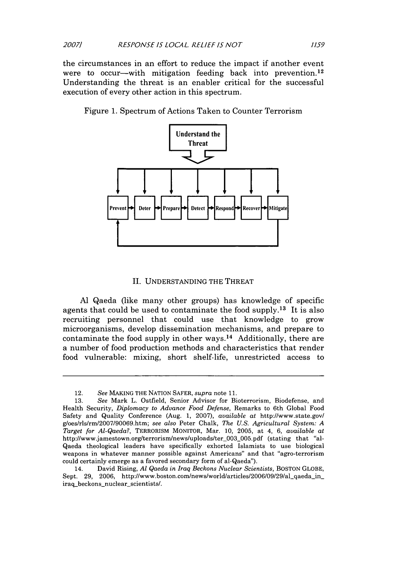the circumstances in an effort to reduce the impact if another event were to occur—with mitigation feeding back into prevention.<sup>12</sup> Understanding the threat is an enabler critical for the successful execution of every other action in this spectrum.

Figure 1. Spectrum of Actions Taken to Counter Terrorism



#### II. UNDERSTANDING THE THREAT

**Al** Qaeda (like many other groups) has knowledge of specific agents that could be used to contaminate the food supply.<sup>13</sup> It is also recruiting personnel that could use that knowledge to grow microorganisms, develop dissemination mechanisms, and prepare to contaminate the food supply in other ways.<sup>14</sup> Additionally, there are a number of food production methods and characteristics that render food vulnerable: mixing, short shelf-life, unrestricted access to

<sup>12.</sup> *See* MAKING THE NATION SAFER, *supra* note 11.

<sup>13.</sup> *See* Mark L. Ostfield, Senior Advisor for Bioterrorism, Biodefense, and Health Security, *Diplomacy to Advance Food Defense,* Remarks to 6th Global Food Safety and Quality Conference (Aug. 1, 2007), *available at* http://www.state.gov/ g/oes/rls/rm/2007/90069.htm; *see also* Peter Chalk, *The U.S. Agricultural System: A Target for Al-Qaeda?,* TERRORISM MONITOR, Mar. 10, 2005, at 4, 6, *available at* http://www.jamestown.org/terrorism/news/uploads/ter 003.005.pdf (stating that "al-Qaeda theological leaders have specifically exhorted Islamists to use biological weapons in whatever manner possible against Americans" and that "agro-terrorism could certainly emerge as a favored secondary form of al-Qaeda").

<sup>14.</sup> David Rising, *Al Qaeda in Iraq Beckons Nuclear Scientists,* BOSTON GLOBE, Sept. 29, 2006, http://www.boston.com/news/world/articles/2006/09/29/al\_qaeda\_in\_ iraq\_beckons\_nuclear\_scientists/.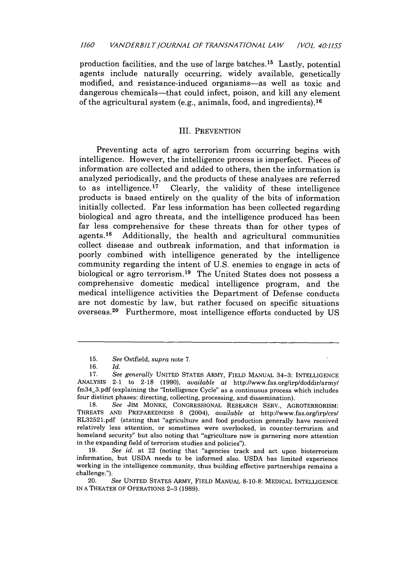production facilities, and the use of large batches.15 Lastly, potential agents include naturally occurring, widely available, genetically modified, and resistance-induced organisms-as well as toxic and dangerous chemicals—that could infect, poison, and kill any element of the agricultural system (e.g., animals, food, and ingredients). <sup>16</sup>

#### III. PREVENTION

Preventing acts of agro terrorism from occurring begins with intelligence. However, the intelligence process is imperfect. Pieces of information are collected and added to others, then the information is analyzed periodically, and the products of these analyses are referred<br>to as intelligence.<sup>17</sup> Clearly, the validity of these intelligence Clearly, the validity of these intelligence. products is based entirely on the quality of the bits of information initially collected. Far less information has been collected regarding biological and agro threats, and the intelligence produced has been far less comprehensive for these threats than for other types of agents.<sup>18</sup> Additionally, the health and agricultural communities Additionally, the health and agricultural communities collect disease and outbreak information, and that information is poorly combined with intelligence generated by the intelligence community regarding the intent of U.S. enemies to engage in acts of biological or agro terrorism. 19 The United States does not possess a comprehensive domestic medical intelligence program, and the medical intelligence activities the Department of Defense conducts are not domestic by law, but rather focused on specific situations overseas. 20 Furthermore, most intelligence efforts conducted by US

19. *See id.* at 22 (noting that "agencies track and act upon bioterrorism information, but USDA needs to be informed also. USDA has limited experience working in the intelligence community, thus building effective partnerships remains a challenge.").

IN A THEATER OF OPERATIONS 2-3 **(1989).**

<sup>15.</sup> *See* Ostfield, *supra* note **7.**

<sup>16.</sup> *Id.*

<sup>17.</sup> *See generally* UNITED STATES ARMY, FIELD MANUAL 34-3: INTELLIGENCE ANALYSIS 2-1 to 2-18 (1990), *available at* http://www.fas.org/irp/doddir/army/ fm34\_3.pdf (explaining the "Intelligence Cycle" as a continuous process which includes four distinct phases: directing, collecting, processing, and dissemination).

<sup>18.</sup> *See* JIM MONKE, CONGRESSIONAL RESEARCH SERV., AGROTERRORISM: THREATS AND PREPAREDNESS 8 (2004), *available at* http://www.fas.org/irp/crs/ RL32521.pdf (stating that "agriculture and food production generally have received relatively less attention, or sometimes were overlooked, in counter-terrorism and homeland security" but also noting that "agriculture now is garnering more attention in the expanding field of terrorism studies and policies").

<sup>20.</sup> *See* UNITED STATES ARMY, FIELD MANUAL 8-10-8: MEDICAL INTELLIGENCE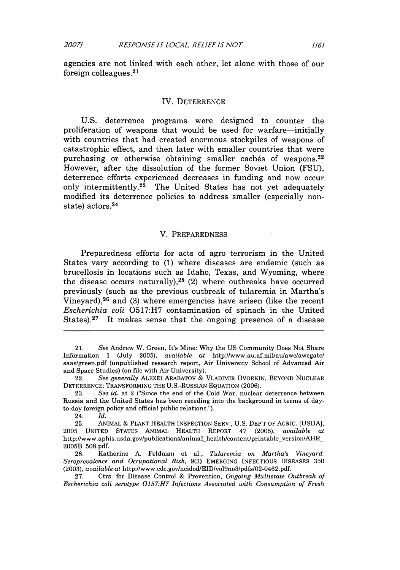*2007]*

agencies are not linked with each other, let alone with those of our foreign colleagues. $21$ 

#### IV. DETERRENCE

U.S. deterrence programs were designed to counter the proliferation of weapons that would be used for warfare-initially with countries that had created enormous stockpiles of weapons of catastrophic effect, and then later with smaller countries that were purchasing or otherwise obtaining smaller caches of weapons.<sup>22</sup> However, after the dissolution of the former Soviet Union (FSU), deterrence efforts experienced decreases in funding and now occur only intermittently.<sup>23</sup> The United States has not yet adequately modified its deterrence policies to address smaller (especially nonstate) actors. <sup>24</sup>

#### V. PREPAREDNESS

Preparedness efforts for acts of agro terrorism in the United States vary according to (1) where diseases are endemic (such as brucellosis in locations such as Idaho, Texas, and Wyoming, where the disease occurs naturally), $25$  (2) where outbreaks have occurred previously (such as the previous outbreak of tularemia in Martha's Vineyard), $26$  and (3) where emergencies have arisen (like the recent *Escherichia coli* 0517:H7 contamination of spinach in the United States).<sup>27</sup> It makes sense that the ongoing presence of a disease

24. *Id.*

26. Katherine A. Feldman et al., *Tularemia on Martha's Vineyard: Seroprevalence and Occupational Risk,* 9(3) EMERGING INFECTIOUS DISEASES 350 (2003), *available at* http://www.cdc.gov/ncidod/EID/vol9no3/pdfs/02-0462.pdf.

27. Ctrs. for Disease Control & Prevention, *Ongoing Multistate Outbreak of Escherichia coli serotype 0157:H7 Infections Associated with Consumption of Fresh*

1161

<sup>21.</sup> *See* Andrew W. Green, It's Mine: Why the US Community Does Not Share Information 1 (July 2005), *available at* http://www.au.af.mil/au/awc/awcgate/ saas/green.pdf (unpublished research report, Air University School of Advanced Air and Space Studies) (on file with Air University).

<sup>22.</sup> *See generally* ALEXEI ARABATOV & VLADIMIR DVORKIN, BEYOND NUCLEAR DETERRENCE: TRANSFORMING THE U.S.-RuSSIAN EQUATION (2006).

<sup>23.</sup> *See id.* at 2 ("Since the end of the Cold War, nuclear deterrence between Russia and the United States has been receding into the background in terms of dayto-day foreign policy and official public relations.").

<sup>25.</sup> ANIMAL *&* PLANT HEALTH INSPECTION SERV., U.S. DEP'T OF AGRIC. [USDA], 2005 UNITED STATES ANIMAL HEALTH REPORT 47 (2005), *available at* http://www.aphis.usda.gov/publications/animal\_health/content/printable\_version/AHR\_ 2005B\_508.pdf.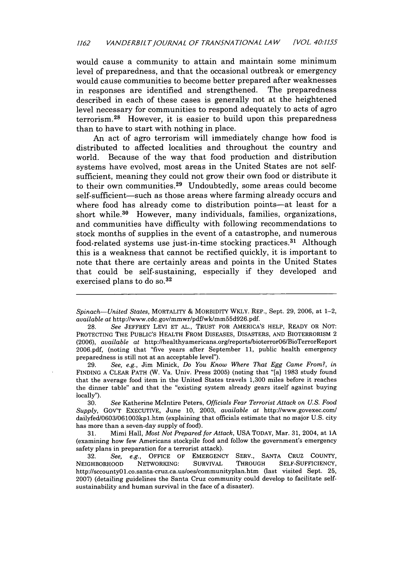would cause a community to attain and maintain some minimum level of preparedness, and that the occasional outbreak or emergency would cause communities to become better prepared after weaknesses in responses are identified and strengthened. The preparedness described in each of these cases is generally not at the heightened level necessary for communities to respond adequately to acts of agro terrorism. 28 However, it is easier to build upon this preparedness than to have to start with nothing in place.

An act of agro terrorism will immediately change how food is distributed to affected localities and throughout the country and world. Because of the way that food production and distribution systems have evolved, most areas in the United States are not selfsufficient, meaning they could not grow their own food or distribute it to their own communities.<sup>29</sup> Undoubtedly, some areas could become self-sufficient—such as those areas where farming already occurs and where food has already come to distribution points-at least for a short while.30 However, many individuals, families, organizations, and communities have difficulty with following recommendations to stock months of supplies in the event of a catastrophe, and numerous food-related systems use just-in-time stocking practices. 31 Although this is a weakness that cannot be rectified quickly, it is important to note that there are certainly areas and points in the United States that could be self-sustaining, especially if they developed and exercised plans to do **so. <sup>3</sup> <sup>2</sup>**

29. *See, e.g.,* Jim Minick, *Do You Know Where That Egg Came From?, in* FINDING A CLEAR PATH (W. Va. Univ. Press 2005) (noting that "[a] 1983 study found that the average food item in the United States travels 1,300 miles before it reaches the dinner table" and that the "existing system already gears itself against buying locally").

30. *See* Katherine McIntire Peters, *Officials Fear Terrorist Attack on U.S. Food Supply,* GOV'T EXECUTIVE, June 10, 2003, *available at* http://www.govexec.com/ dailyfed/0603/061003kp1.htm (explaining that officials estimate that no major U.S. city has more than a seven-day supply of food).

31. Mimi Hall, *Most Not Prepared for Attack,* USA TODAY, Mar. 31, 2004, at **1A** (examining how few Americans stockpile food and follow the government's emergency safety plans in preparation for a terrorist attack).

32. *See, e.g.,* OFFICE OF EMERGENCY SERV., SANTA CRUZ COUNTY, NEIGHBORHOOD NETWORKING: SURVIVAL THROUGH SELF-SUFFICIENCY, http://sccounty0l.co.santa-cruz.ca.us/oes/communityplan.htm (last visited Sept. 25, 2007) (detailing guidelines the Santa Cruz community could develop to facilitate selfsustainability and human survival in the face of a disaster).

*Spinach-United States,* MORTALITY *&* MORBIDITY WKLY. REP., Sept. 29, 2006, at 1-2, *available at* http://www.cdc.gov/mmwr/pdf/wk/mm55d926.pdf.

<sup>28.</sup> *See* JEFFREY LEVI ET AL., TRUST FOR AMERICA'S HELP, READY OR NOT: PROTECTING THE PUBLIC'S HEALTH FROM DISEASES, DISASTERS, AND BIOTERRORISM 2 (2006), *available at* http:/Ihealthyamericans.org/reportsbioterror06/BioTerrorReport 2006.pdf, (noting that "five years after September 11, public health emergency preparedness is still not at an acceptable level").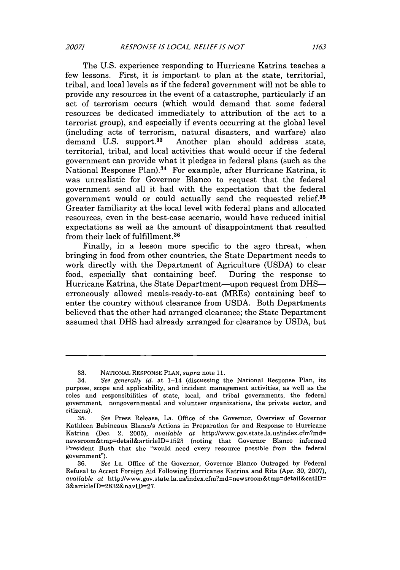The U.S. experience responding to Hurricane Katrina teaches a few lessons. First, it is important to plan at the state, territorial, tribal, and local levels as if the federal government will not be able to provide any resources in the event of a catastrophe, particularly if an act of terrorism occurs (which would demand that some federal resources be dedicated immediately to attribution of the act to a terrorist group), and especially if events occurring at the global level (including acts of terrorism, natural disasters, and warfare) also demand U.S. support.<sup>33</sup> Another plan should address state, Another plan should address state, territorial, tribal, and local activities that would occur if the federal government can provide what it pledges in federal plans (such as the National Response Plan).34 For example, after Hurricane Katrina, it was unrealistic for Governor Blanco to request that the federal government send all it had with the expectation that the federal government would or could actually send the requested relief.35 Greater familiarity at the local level with federal plans and allocated resources, even in the best-case scenario, would have reduced initial expectations as well as the amount of disappointment that resulted from their lack of fulfillment.<sup>36</sup>

Finally, in a lesson more specific to the agro threat, when bringing in food from other countries, the State Department needs to work directly with the Department of Agriculture (USDA) to clear food, especially that containing beef. During the response to Hurricane Katrina, the State Department—upon request from DHS erroneously allowed meals-ready-to-eat (MREs) containing beef to enter the country without clearance from USDA. Both Departments believed that the other had arranged clearance; the State Department assumed that DHS had already arranged for clearance by USDA, but

<sup>33.</sup> NATIONAL RESPONSE PLAN, *supra* note 11.

<sup>34.</sup> *See generally id.* at 1-14 (discussing the National Response Plan, its purpose, scope and applicability, and incident management activities, as well as the roles and responsibilities of state, local, and tribal governments, the federal government, nongovernmental and volunteer organizations, the private sector, and citizens).

<sup>35.</sup> *See* Press Release, La. Office of the Governor, Overview of Governor Kathleen Babineaux Blanco's Actions in Preparation for and Response to Hurricane Katrina (Dec. 2, 2005), *available at* http://www.gov.state.la.us/index.cfm?md= newsroom&tmp=detail&articleID=1523 (noting that Governor Blanco informed President Bush that she "would need every resource possible from the federal government").

<sup>36.</sup> *See* La. Office of the Governor, Governor Blanco Outraged by Federal Refusal to Accept Foreign Aid Following Hurricanes Katrina and Rita (Apr. 30, 2007), *available at* http://www.gov.state.la.us/index.cfm?md=newsroom&tmp=detail&catID= 3&articleID=2832&navlD=27.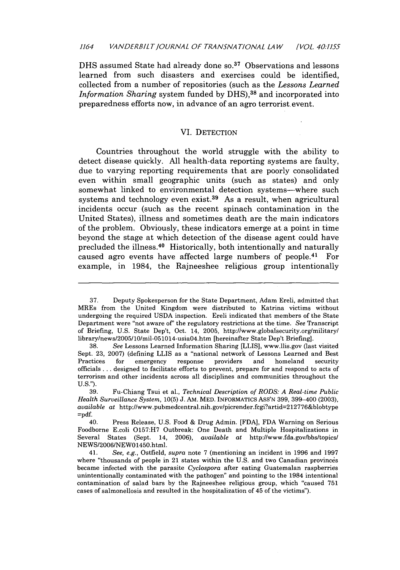DHS assumed State had already done so.<sup>37</sup> Observations and lessons learned from such disasters and exercises could be identified, collected from a number of repositories (such as the *Lessons Learned Information Sharing* system funded by DHS),<sup>38</sup> and incorporated into preparedness efforts now, in advance of an agro terrorist event.

#### VI. DETECTION

Countries throughout the world struggle with the ability to detect disease quickly. All health-data reporting systems are faulty, due to varying reporting requirements that are poorly consolidated even within small geographic units (such as states) and only somewhat linked to environmental detection systems--where such systems and technology even exist.<sup>39</sup> As a result, when agricultural incidents occur (such as the recent spinach contamination in the United States), illness and sometimes death are the main indicators of the problem. Obviously, these indicators emerge at a point in time beyond the stage at which detection of the disease agent could have precluded the illness.<sup>40</sup> Historically, both intentionally and naturally caused agro events have affected large numbers of people.<sup>41</sup> For example, in 1984, the Rajneeshee religious group intentionally

<sup>37.</sup> Deputy Spokesperson for the State Department, Adam Ereli, admitted that MREs from the United Kingdom were distributed to Katrina victims without undergoing the required USDA inspection. Ereli indicated that members of the State Department were "not aware of' the regulatory restrictions at the time. See Transcript of Briefing, U.S. State Dep't, Oct. 14, 2005, http:/iwww.globalsecurity.org/military/ library/news/2005/10/mil-051014-usia04.htm [hereinafter State Dep't Briefing].

<sup>38.</sup> *See* Lessons Learned Information Sharing [LLIS], www.llis.gov (last visited Sept. 23, 2007) (defining LLIS as a "national network of Lessons Learned and Best Practices for emergency response providers and homeland security officials **...** designed to facilitate efforts to prevent, prepare for and respond to acts of terrorism and other incidents across all disciplines and communities throughout the U.S.").

<sup>39.</sup> Fu-Chiang Tsui et al., *Technical Description of RODS: A Real-time Public Health Surveillance System,* 10(5) J. AM. MED. INFORMATIcs ASS'N 399, 399-400 (2003), *available at* http://www.pubmedcentral.nih.gov/picrender.fcgi?artid=2 12776&blobtype =pdf.

<sup>40.</sup> Press Release, U.S. Food & Drug Admin. [FDA], FDA Warning on Serious Foodborne E.coli 0157:H7 Outbreak: One Death and Multiple Hospitalizations in Several States (Sept. 14, 2006), *available at http://www.fda.gov/bbs/topics/* NEWS/2006/NEW01450.html.

<sup>41.</sup> *See, e.g.,* Ostfield, *supra* note 7 (mentioning an incident in 1996 and 1997 where "thousands of people in 21 states within the U.S. and two Canadian provinces became infected with the parasite *Cyclospora* after eating Guatemalan raspberries unintentionally contaminated with the pathogen" and pointing to the 1984 intentional contamination of salad bars by the Rajneeshee religious group, which "caused 751 cases of salmonellosis and resulted in the hospitalization of 45 of the victims").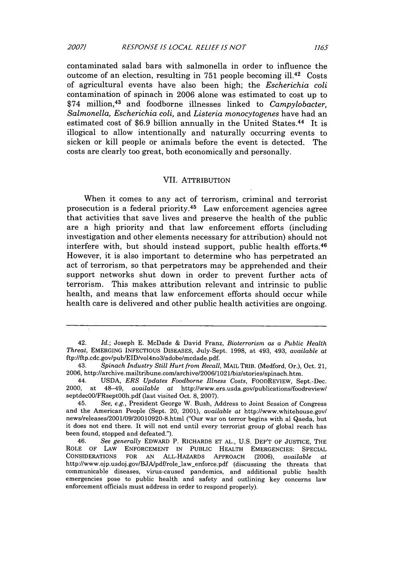contaminated salad bars with salmonella in order to influence the outcome of an election, resulting in 751 people becoming ill.42 Costs of agricultural events have also been high; the *Escherichia coli* contamination of spinach in 2006 alone was estimated to cost up to \$74 million, 43 and foodborne illnesses linked to *Campylobacter, Salmonella, Escherichia coli,* and *Listeria monocytogenes* have had an estimated cost of \$6.9 billion annually in the United States.<sup>44</sup> It is illogical to allow intentionally and naturally occurring events to sicken or kill people or animals before the event is detected. The costs are clearly too great, both economically and personally.

### VII. ATTRIBUTION

When it comes to any act of terrorism, criminal and terrorist prosecution is a federal priority. 45 Law enforcement agencies agree that activities that save lives and preserve the health of the public are a high priority and that law enforcement efforts (including investigation and other elements necessary for attribution) should not interfere with, but should instead support, public health efforts.<sup>46</sup> However, it is also important to determine who has perpetrated an act of terrorism, so that perpetrators may be apprehended and their support networks shut down in order to prevent further acts of terrorism. This makes attribution relevant and intrinsic to public health, and means that law enforcement efforts should occur while health care is delivered and other public health activities are ongoing.

<sup>42.</sup> *Id.;* Joseph E. McDade & David Franz, *Bioterrorism as a Public Health Threat,* EMERGING INFECTIOUS DISEASES, July-Sept. 1998, at 493, 493, *available at* ftp://ftp.cdc.gov/pub/EID/vol4no3/adobe/mcdade.pdf.

<sup>43.</sup> *Spinach Industry Still Hurt from Recall,* MAIL TRIB. (Medford, Or.), Oct. 21, 2006, http://archive.mailtribune.com/archive/2006/1021/biz/stories/spinach.htm.

<sup>44.</sup> USDA, *ERS Updates Foodborne Illness Costs,* FoODREVIEW, Sept.-Dec. 2000, at 48-49, *available at* http://www.ers.usda.gov/publications/foodreview/ septdec00/FRsept00h.pdf (last visited Oct. 8, 2007).

<sup>45.</sup> *See, e.g.,* President George W. Bush, Address to Joint Session of Congress and the American People (Sept. 20, 2001), *available at* http://www.whitehouse.gov/ news/releases/2001/09/20010920-8.html ("Our war on terror begins with al Qaeda, but it does not end there. It will not end until every terrorist group of global reach has been found, stopped and defeated.").

<sup>46.</sup> *See generally* EDWARD P. RICHARDS ET AL., U.S. DEP'T OF JUSTICE, THE ROLE OF LAW ENFORCEMENT IN PUBLIC HEALTH EMERGENCIES: SPECIAL CONSIDERATIONS FOR AN ALL-HAZARDS APPROACH (2006), *available at* http://www.ojp.usdoj.gov/BJApdf/role law enforce.pdf (discussing the threats that communicable diseases, virus-caused pandemics, and additional public health emergencies pose to public health and safety and outlining key concerns law enforcement officials must address in order to respond properly).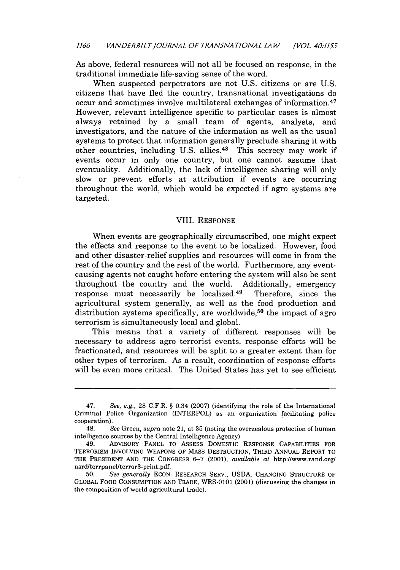As above, federal resources will not all be focused on response, in the traditional immediate life-saving sense of the word.

When suspected perpetrators are not U.S. citizens or are U.S. citizens that have fled the country, transnational investigations do occur and sometimes involve multilateral exchanges of information.<sup>47</sup> However, relevant intelligence specific to particular cases is almost always retained by a small team of agents, analysts, and investigators, and the nature of the information as well as the usual systems to protect that information generally preclude sharing it with other countries, including U.S. allies.<sup>48</sup> This secrecy may work if events occur in only one country, but one cannot assume that eventuality. Additionally, the lack of intelligence sharing will only slow or prevent efforts at attribution if events are occurring throughout the world, which would be expected if agro systems are targeted.

## VIII. RESPONSE

When events are geographically circumscribed, one might expect the effects and response to the event to be localized. However, food and other disaster-relief supplies and resources will come in from the rest of the country and the rest of the world. Furthermore, any eventcausing agents not caught before entering the system will also be sent throughout the country and the world. Additionally, emergency response must necessarily be localized.<sup>49</sup> Therefore, since the agricultural system generally, as well as the food production and distribution systems specifically, are worldwide,<sup>50</sup> the impact of agro terrorism is simultaneously local and global.

This means that a variety of different responses will be necessary to address agro terrorist events, response efforts will be fractionated, and resources will be split to a greater extent than for other types of terrorism. As a result, coordination of response efforts will be even more critical. The United States has yet to see efficient

<sup>47.</sup> See, e.g., **28** C.F.R. § 0.34 (2007) (identifying the role of the International Criminal Police Organization (INTERPOL) as an organization facilitating police cooperation).

<sup>48.</sup> *See* Green, *supra* note 21, at 35 (noting the overzealous protection of human intelligence sources by the Central Intelligence Agency).

<sup>49.</sup> ADVISORY **PANEL** TO ASSESS DOMESTIC **RESPONSE** CAPABILITIES FOR TERRORISM INVOLVING **WEAPONS** OF MASS **DESTRUCTION,** THIRD ANNUAL REPORT TO THE PRESIDENT **AND** THE **CONGRESS 6-7** (2001), *available at* http://www.rand.org/ nsrd/terrpanel/terror3-print.pdf.

**<sup>50.</sup>** *See generally* **ECON.** RESEARCH SERV., **USDA, CHANGING STRUCTURE** OF GLOBAL FOOD **CONSUMPTION AND** TRADE, **WRS-o1o1** (2001) (discussing the changes in the composition of world agricultural trade).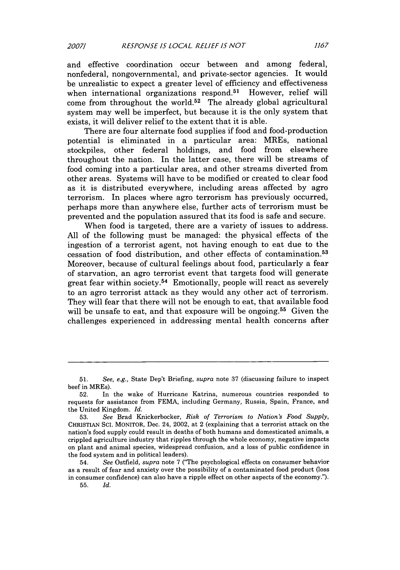and effective coordination occur between and among federal, nonfederal, nongovernmental, and private-sector agencies. It would be unrealistic to expect a greater level of efficiency and effectiveness when international organizations respond.<sup>51</sup> However, relief will come from throughout the world.52 The already global agricultural system may well be imperfect, but because it is the only system that exists, it will deliver relief to the extent that it is able.

There are four alternate food supplies if food and food-production potential is eliminated in a particular area: MREs, national stockpiles, other federal holdings, and food from elsewhere throughout the nation. In the latter case, there will be streams of food coming into a particular area, and other streams diverted from other areas. Systems will have to be modified or created to clear food as it is distributed everywhere, including areas affected by agro terrorism. In places where agro terrorism has previously occurred, perhaps more than anywhere else, further acts of terrorism must be prevented and the population assured that its food is safe and secure.

When food is targeted, there are a variety of issues to address. All of the following must be managed: the physical effects of the ingestion of a terrorist agent, not having enough to eat due to the cessation of food distribution, and other effects of contamination. <sup>53</sup> Moreover, because of cultural feelings about food, particularly a fear of starvation, an agro terrorist event that targets food will generate great fear within society. 54 Emotionally, people will react as severely to an agro terrorist attack as they would any other act of terrorism. They will fear that there will not be enough to eat, that available food will be unsafe to eat, and that exposure will be ongoing.<sup>55</sup> Given the challenges experienced in addressing mental health concerns after

<sup>51.</sup> See, e.g., State Dep't Briefing, *supra* note 37 (discussing failure to inspect beef in MREs).

<sup>52.</sup> In the wake of Hurricane Katrina, numerous countries responded to requests for assistance from FEMA, including Germany, Russia, Spain, France, and the United Kingdom. *Id.*

<sup>53.</sup> *See* Brad Knickerbocker, *Risk of Terrorism to Nation's Food Supply,* CHRISTIAN SCI. MONITOR, Dec. 24, 2002, at 2 (explaining that a terrorist attack on the nation's food supply could result in deaths of both humans and domesticated animals, a crippled agriculture industry that ripples through the whole economy, negative impacts on plant and animal species, widespread confusion, and a loss of public confidence in the food system and in political leaders).

<sup>54.</sup> *See* Ostfield, *supra* note 7 ("The psychological effects on consumer behavior as a result of fear and anxiety over the possibility of a contaminated food product (loss in consumer confidence) can also have a ripple effect on other aspects of the economy.").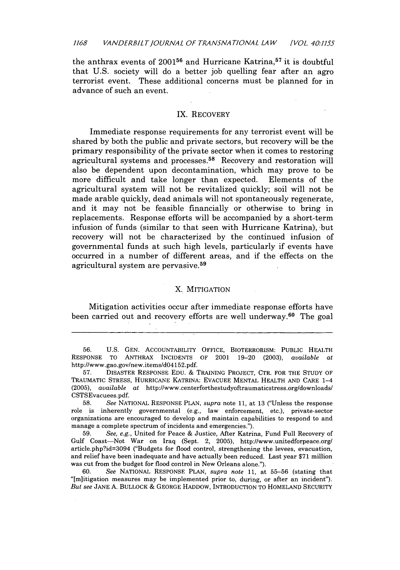the anthrax events of  $2001^{56}$  and Hurricane Katrina,<sup>57</sup> it is doubtful that U.S. society will do a better job quelling fear after an agro terrorist event. These additional concerns must be planned for in advance of such an event.

## IX. RECOVERY

Immediate response requirements for any terrorist event will be shared by both the public and private sectors, but recovery will be the primary responsibility of the private sector when it comes to restoring agricultural systems and processes. 58 Recovery and restoration will also be dependent upon decontamination, which may prove to be more difficult and take longer than expected. Elements of the agricultural system will not be revitalized quickly; soil will not be made arable quickly, dead animals will not spontaneously regenerate, and it may not be feasible financially or otherwise to bring in replacements. Response efforts will be accompanied by a short-term infusion of funds (similar to that seen with Hurricane Katrina), but recovery will not be characterized by the continued infusion of governmental funds at such high levels, particularly if events have occurred in a number of different areas, and if the effects on the agricultural system are pervasive. <sup>59</sup>

#### X. MITIGATION

Mitigation activities occur after immediate response efforts have been carried out and recovery efforts are well underway.60 The goal

56. U.S. GEN. ACCOUNTABILITY OFFICE, BIOTERRORISM: PUBLIC HEALTH RESPONSE TO ANTHRAX INCIDENTS OF 2001 19-20 (2003), *available at* http://www.gao.gov/new.items/d04152.pdf.

57. DISASTER RESPONSE EDU. & TRAINING PROJECT, CTR. FOR THE STUDY OF TRAUMATIC STRESS, HURRICANE KATRINA: EVACUEE MENTAL HEALTH AND CARE 1-4 (2005), *available at* http://www.centerforthestudyoftraumaticstress.org/downloads/ CSTSEvacuees.pdf.

58. *See* NATIONAL RESPONSE PLAN, *supra* note **11,** at 13 ("Unless the response role is inherently governmental (e.g., law enforcement, etc.), private-sector organizations are encouraged to develop and maintain capabilities to respond to and manage a complete spectrum of incidents and emergencies.").

59. *See, e.g.,* United for Peace & Justice, After Katrina, Fund Full Recovery of Gulf Coast-Not War on Iraq (Sept. 2, 2005), http://www.unitedforpeace.org/ article.php?id=3094 ("Budgets for flood control, strengthening the levees, evacuation, and relief have been inadequate and have actually been reduced. Last year \$71 million was cut from the budget for flood control in New Orleans alone.").

60. *See* NATIONAL RESPONSE PLAN, *supra note* 11, at 55-56 (stating that "[m]itigation measures may be implemented prior to, during, or after an incident"). *But see* JANE A. BULLOCK *&* GEORGE HADDOW, INTRODUCTION TO HOMELAND SECURITY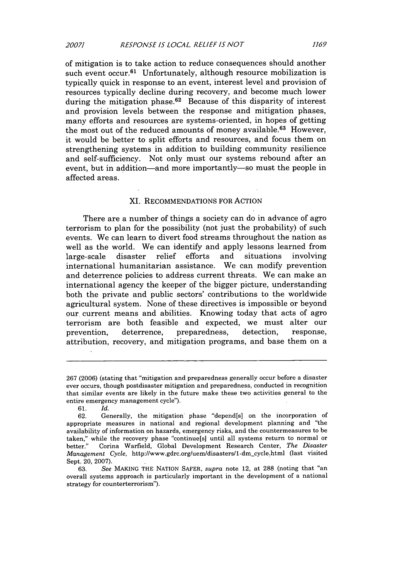of mitigation is to take action to reduce consequences should another such event  $ocur.<sup>61</sup>$  Unfortunately, although resource mobilization is typically quick in response to an event, interest level and provision of resources typically decline during recovery, and become much lower during the mitigation phase.<sup>62</sup> Because of this disparity of interest and provision levels between the response and mitigation phases, many efforts and resources are systems-oriented, in hopes of getting the most out of the reduced amounts of money available.<sup>63</sup> However, it would be better to split efforts and resources, and focus them on strengthening systems in addition to building community resilience and self-sufficiency. Not only must our systems rebound after an event, but in addition—and more importantly—so must the people in affected areas.

#### XI. RECOMMENDATIONS FOR ACTION

There are a number of things a society can do in advance of agro terrorism to plan for the possibility (not just the probability) of such events. We can learn to divert food streams throughout the nation as well as the world. We can identify and apply lessons learned from large-scale disaster relief efforts and situations involving international humanitarian assistance. We can modify prevention and deterrence policies to address current threats. We can make an international agency the keeper of the bigger picture, understanding both the private and public sectors' contributions to the worldwide agricultural system. None of these directives is impossible or beyond our current means and abilities. Knowing today that acts of agro terrorism are both feasible and expected, we must alter our prevention, deterrence, preparedness, detection, response, attribution, recovery, and mitigation programs, and base them on a

<sup>267 (2006) (</sup>stating that "mitigation and preparedness generally occur before a disaster ever occurs, though postdisaster mitigation and preparedness, conducted in recognition that similar events are likely in the future make these two activities general to the entire emergency management cycle").

<sup>61.</sup> *Id.*

<sup>62.</sup> Generally, the mitigation phase "depend[s] on the incorporation of appropriate measures in national and regional development planning and "the availability of information on hazards, emergency risks, and the countermeasures to be taken," while the recovery phase "continue[s] until all systems return to normal or better." Corina Warfield, Global Development Research Center, *The Disaster Management Cycle, http://www.gdrc.org/uem/disasters/1-dm\_cycle.html (last visited* Sept. 20, 2007).

<sup>63.</sup> *See* MAKING THE NATION SAFER, *supra* note 12, at 288 (noting that "an overall systems approach is particularly important in the development of a national strategy for counterterrorism").